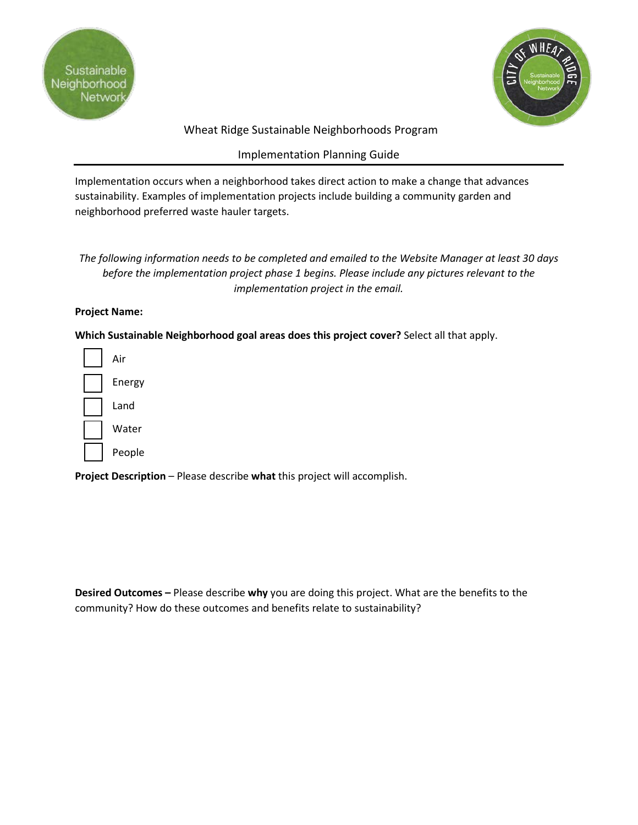



## Wheat Ridge Sustainable Neighborhoods Program

## Implementation Planning Guide

Implementation occurs when a neighborhood takes direct action to make a change that advances sustainability. Examples of implementation projects include building a community garden and neighborhood preferred waste hauler targets.

## *The following information needs to be completed and emailed to the Website Manager at least 30 days before the implementation project phase 1 begins. Please include any pictures relevant to the implementation project in the email.*

## **Project Name:**

**Which Sustainable Neighborhood goal areas does this project cover?** Select all that apply.

| Air    |
|--------|
| Energy |
| Land   |
| Water  |
| People |

**Project Description** – Please describe **what** this project will accomplish.

**Desired Outcomes –** Please describe **why** you are doing this project. What are the benefits to the community? How do these outcomes and benefits relate to sustainability?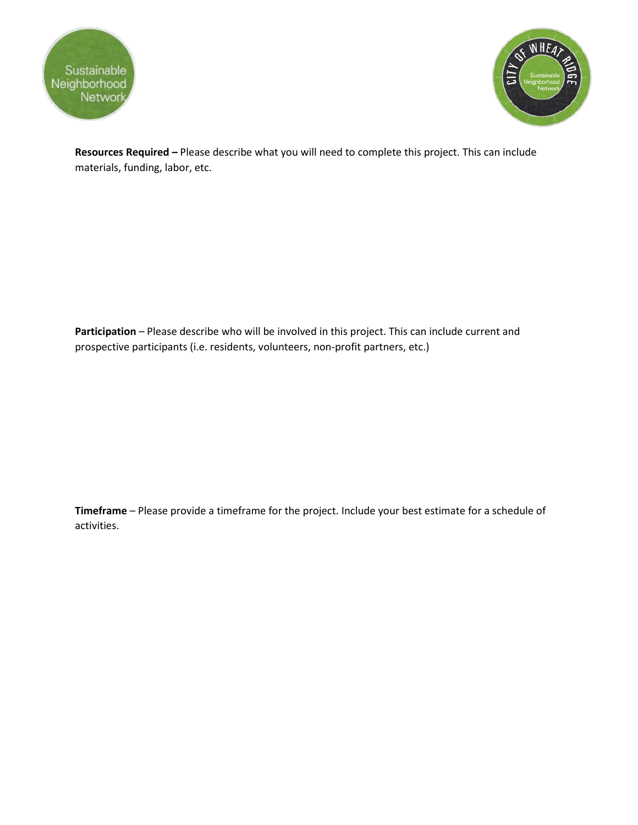



**Resources Required –** Please describe what you will need to complete this project. This can include materials, funding, labor, etc.

Participation – Please describe who will be involved in this project. This can include current and prospective participants (i.e. residents, volunteers, non-profit partners, etc.)

**Timeframe** – Please provide a timeframe for the project. Include your best estimate for a schedule of activities.